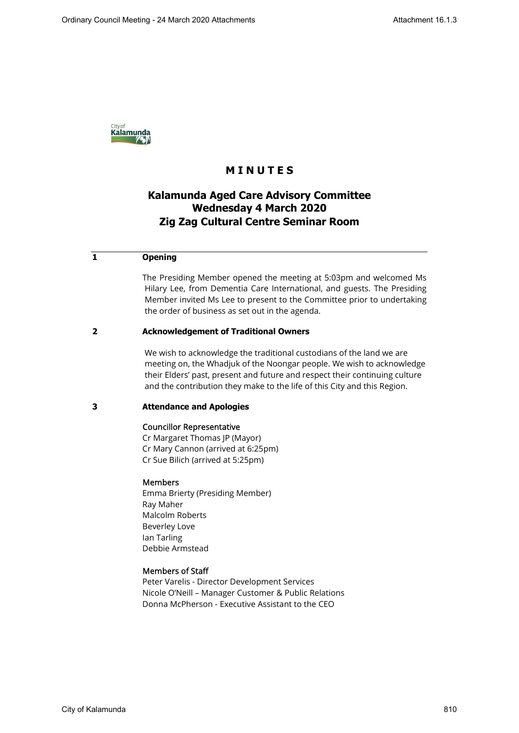

# **M I N U T E S**

# **Kalamunda Aged Care Advisory Committee Wednesday 4 March 2020 Zig Zag Cultural Centre Seminar Room**

## **1 Opening**

The Presiding Member opened the meeting at 5:03pm and welcomed Ms Hilary Lee, from Dementia Care International, and guests. The Presiding Member invited Ms Lee to present to the Committee prior to undertaking the order of business as set out in the agenda.

## **2 Acknowledgement of Traditional Owners**

We wish to acknowledge the traditional custodians of the land we are meeting on, the Whadjuk of the Noongar people. We wish to acknowledge their Elders' past, present and future and respect their continuing culture and the contribution they make to the life of this City and this Region.

## **3 Attendance and Apologies**

### Councillor Representative

Cr Margaret Thomas JP (Mayor) Cr Mary Cannon (arrived at 6:25pm) Cr Sue Bilich (arrived at 5:25pm)

### Members

Emma Brierty (Presiding Member) Ray Maher Malcolm Roberts Beverley Love Ian Tarling Debbie Armstead

## Members of Staff

Peter Varelis - Director Development Services Nicole O'Neill – Manager Customer & Public Relations Donna McPherson - Executive Assistant to the CEO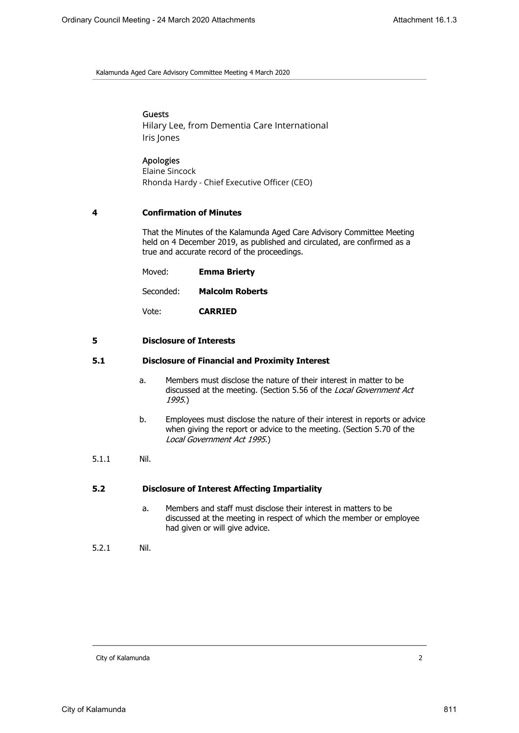Kalamunda Aged Care Advisory Committee Meeting 4 March 2020

## Guests

Hilary Lee, from Dementia Care International Iris Jones

## Apologies

Elaine Sincock Rhonda Hardy - Chief Executive Officer (CEO)

## **4 Confirmation of Minutes**

That the Minutes of the Kalamunda Aged Care Advisory Committee Meeting held on 4 December 2019, as published and circulated, are confirmed as a true and accurate record of the proceedings.

| Moved:    | <b>Emma Brierty</b>    |
|-----------|------------------------|
| Seconded: | <b>Malcolm Roberts</b> |

Vote: **CARRIED**

## **5 Disclosure of Interests**

## **5.1 Disclosure of Financial and Proximity Interest**

- a. Members must disclose the nature of their interest in matter to be discussed at the meeting. (Section 5.56 of the Local Government Act 1995.)
- b. Employees must disclose the nature of their interest in reports or advice when giving the report or advice to the meeting. (Section 5.70 of the Local Government Act 1995.)
- 5.1.1 Nil.

### **5.2 Disclosure of Interest Affecting Impartiality**

a. Members and staff must disclose their interest in matters to be discussed at the meeting in respect of which the member or employee had given or will give advice.

5.2.1 Nil.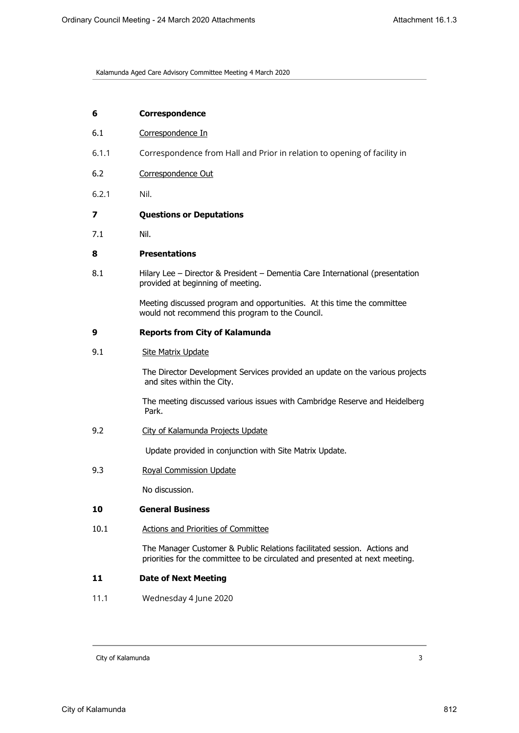Kalamunda Aged Care Advisory Committee Meeting 4 March 2020

| 6 | <b>Correspondence</b> |
|---|-----------------------|
|---|-----------------------|

- 6.1 Correspondence In
- 6.1.1 Correspondence from Hall and Prior in relation to opening of facility in
- 6.2 Correspondence Out
- 6.2.1 Nil.
- **7 Questions or Deputations**
- 7.1 Nil.

## **8 Presentations**

8.1 Hilary Lee – Director & President – Dementia Care International (presentation provided at beginning of meeting.

> Meeting discussed program and opportunities. At this time the committee would not recommend this program to the Council.

### **9 Reports from City of Kalamunda**

9.1 Site Matrix Update

The Director Development Services provided an update on the various projects and sites within the City.

The meeting discussed various issues with Cambridge Reserve and Heidelberg Park.

9.2 City of Kalamunda Projects Update

Update provided in conjunction with Site Matrix Update.

9.3 Royal Commission Update

No discussion.

# **10 General Business**

10.1 Actions and Priorities of Committee

 The Manager Customer & Public Relations facilitated session. Actions and priorities for the committee to be circulated and presented at next meeting.

## **11 Date of Next Meeting**

11.1 Wednesday 4 June 2020